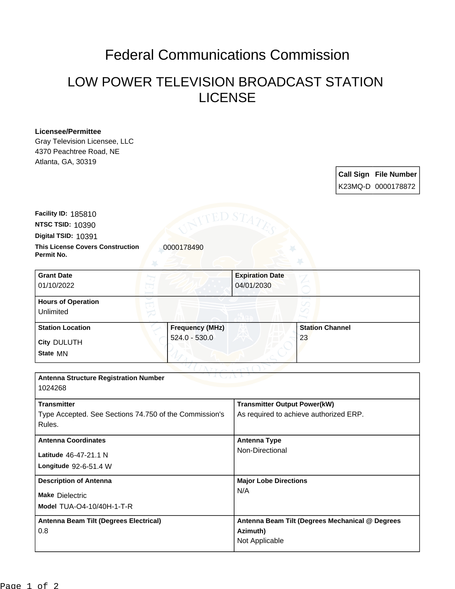## Federal Communications Commission

## LOW POWER TELEVISION BROADCAST STATION LICENSE

## **Licensee/Permittee**

Gray Television Licensee, LLC 4370 Peachtree Road, NE Atlanta, GA, 30319

> **Call Sign File Number** K23MQ-D 0000178872

**This License Covers Construction 10000178490 Digital TSID:** 10391 **NTSC TSID:** 10390 **Facility ID:** 185810

**Permit No.**

| <b>Grant Date</b><br>01/10/2022        | <b>Expiration Date</b><br>04/01/2030 |  |                        |
|----------------------------------------|--------------------------------------|--|------------------------|
| <b>Hours of Operation</b><br>Unlimited |                                      |  |                        |
| <b>Station Location</b>                | <b>Frequency (MHz)</b>               |  | <b>Station Channel</b> |
| <b>City DULUTH</b><br>State MN         | 524.0 - 530.0                        |  | 23                     |

| <b>Antenna Structure Registration Number</b><br>1024268 |                                                 |  |  |  |
|---------------------------------------------------------|-------------------------------------------------|--|--|--|
|                                                         |                                                 |  |  |  |
| <b>Transmitter</b>                                      | <b>Transmitter Output Power(kW)</b>             |  |  |  |
| Type Accepted. See Sections 74.750 of the Commission's  | As required to achieve authorized ERP.          |  |  |  |
| Rules.                                                  |                                                 |  |  |  |
| <b>Antenna Coordinates</b>                              | Antenna Type                                    |  |  |  |
| Latitude 46-47-21.1 N                                   | Non-Directional                                 |  |  |  |
| Longitude 92-6-51.4 W                                   |                                                 |  |  |  |
| <b>Description of Antenna</b>                           | <b>Major Lobe Directions</b>                    |  |  |  |
| <b>Make Dielectric</b>                                  | N/A                                             |  |  |  |
| <b>Model TUA-O4-10/40H-1-T-R</b>                        |                                                 |  |  |  |
| Antenna Beam Tilt (Degrees Electrical)                  | Antenna Beam Tilt (Degrees Mechanical @ Degrees |  |  |  |
| 0.8                                                     | Azimuth)                                        |  |  |  |
|                                                         | Not Applicable                                  |  |  |  |